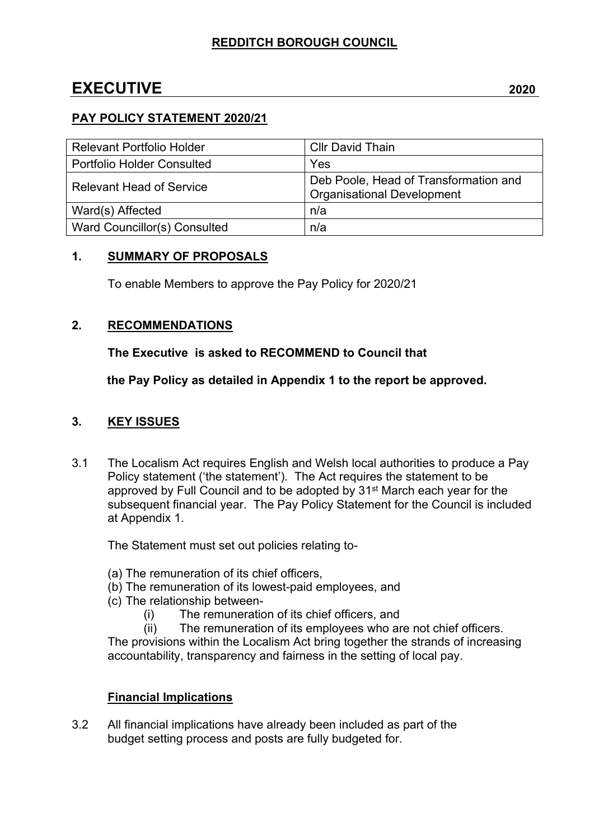# **EXECUTIVE 2020**

### **PAY POLICY STATEMENT 2020/21**

| <b>Relevant Portfolio Holder</b>  | <b>Cllr David Thain</b>                                                    |
|-----------------------------------|----------------------------------------------------------------------------|
| <b>Portfolio Holder Consulted</b> | Yes                                                                        |
| <b>Relevant Head of Service</b>   | Deb Poole, Head of Transformation and<br><b>Organisational Development</b> |
| Ward(s) Affected                  | n/a                                                                        |
| Ward Councillor(s) Consulted      | n/a                                                                        |

### **1. SUMMARY OF PROPOSALS**

To enable Members to approve the Pay Policy for 2020/21

# **2. RECOMMENDATIONS**

# **The Executive is asked to RECOMMEND to Council that**

**the Pay Policy as detailed in Appendix 1 to the report be approved.**

# **3. KEY ISSUES**

3.1 The Localism Act requires English and Welsh local authorities to produce a Pay Policy statement ('the statement'). The Act requires the statement to be approved by Full Council and to be adopted by 31st March each year for the subsequent financial year. The Pay Policy Statement for the Council is included at Appendix 1.

The Statement must set out policies relating to-

(a) The remuneration of its chief officers,

(b) The remuneration of its lowest-paid employees, and

- (c) The relationship between-
	- (i) The remuneration of its chief officers, and

(ii) The remuneration of its employees who are not chief officers. The provisions within the Localism Act bring together the strands of increasing accountability, transparency and fairness in the setting of local pay.

# **Financial Implications**

3.2 All financial implications have already been included as part of the budget setting process and posts are fully budgeted for.